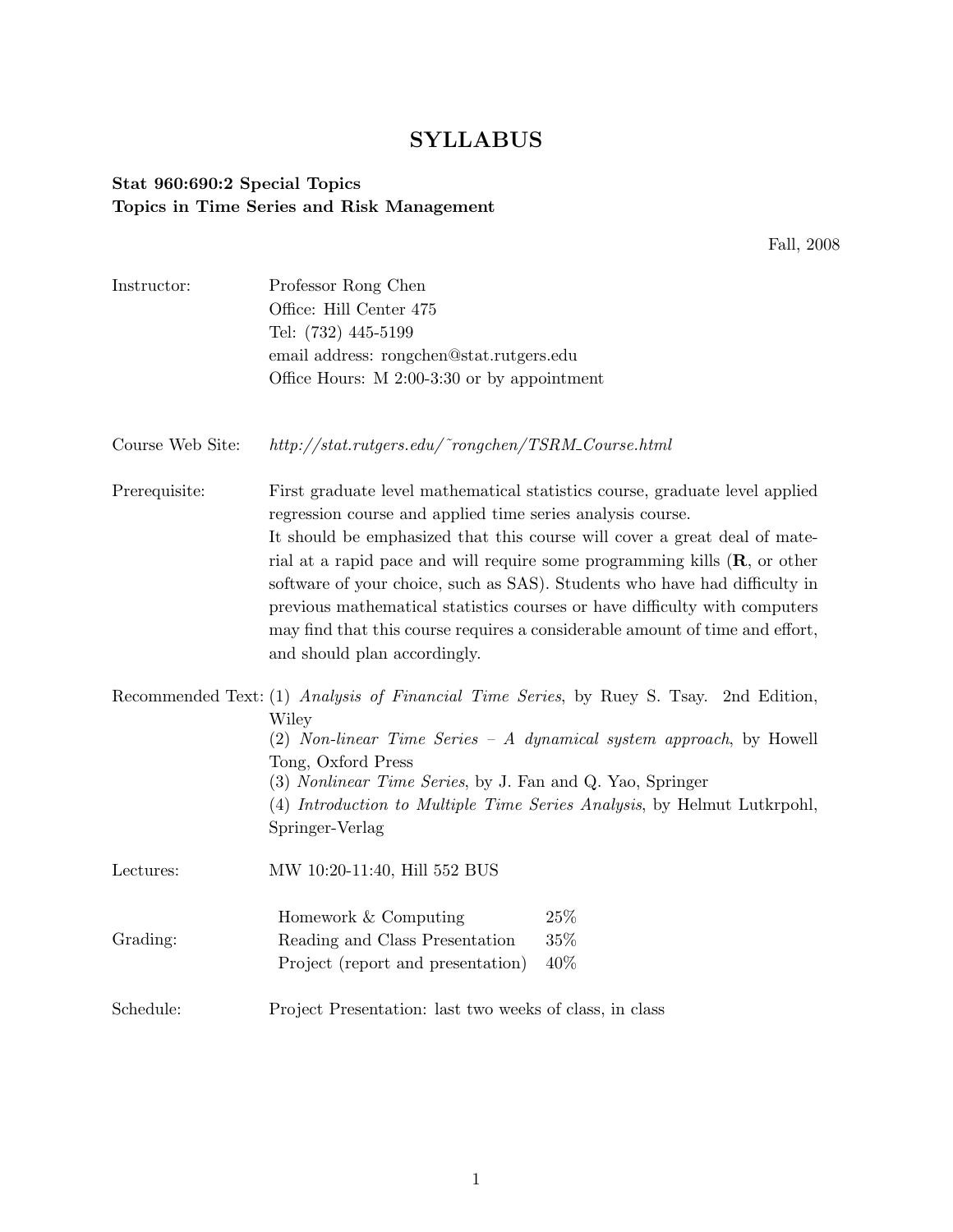## SYLLABUS

## Stat 960:690:2 Special Topics Topics in Time Series and Risk Management

Fall, 2008

| Instructor:      | Professor Rong Chen<br>Office: Hill Center 475<br>Tel: (732) 445-5199<br>email address: rongchen@stat.rutgers.edu                                                                                                                                                                                                                                                                                                                             |     |
|------------------|-----------------------------------------------------------------------------------------------------------------------------------------------------------------------------------------------------------------------------------------------------------------------------------------------------------------------------------------------------------------------------------------------------------------------------------------------|-----|
|                  |                                                                                                                                                                                                                                                                                                                                                                                                                                               |     |
|                  |                                                                                                                                                                                                                                                                                                                                                                                                                                               |     |
|                  |                                                                                                                                                                                                                                                                                                                                                                                                                                               |     |
|                  | Office Hours: $M$ 2:00-3:30 or by appointment                                                                                                                                                                                                                                                                                                                                                                                                 |     |
| Course Web Site: | $http://stat.rutgers.edu/~rongchen/TSRM\_Course.html$                                                                                                                                                                                                                                                                                                                                                                                         |     |
| Prerequisite:    | First graduate level mathematical statistics course, graduate level applied<br>regression course and applied time series analysis course.                                                                                                                                                                                                                                                                                                     |     |
|                  | It should be emphasized that this course will cover a great deal of mate-<br>rial at a rapid pace and will require some programming kills $(R, \text{ or other})$<br>software of your choice, such as SAS). Students who have had difficulty in<br>previous mathematical statistics courses or have difficulty with computers<br>may find that this course requires a considerable amount of time and effort,<br>and should plan accordingly. |     |
|                  | Recommended Text: (1) Analysis of Financial Time Series, by Ruey S. Tsay. 2nd Edition,<br>Wiley                                                                                                                                                                                                                                                                                                                                               |     |
|                  | (2) Non-linear Time Series - A dynamical system approach, by Howell                                                                                                                                                                                                                                                                                                                                                                           |     |
|                  | Tong, Oxford Press<br>(3) Nonlinear Time Series, by J. Fan and Q. Yao, Springer                                                                                                                                                                                                                                                                                                                                                               |     |
|                  | (4) Introduction to Multiple Time Series Analysis, by Helmut Lutkrpohl,<br>Springer-Verlag                                                                                                                                                                                                                                                                                                                                                    |     |
| Lectures:        | MW 10:20-11:40, Hill 552 BUS                                                                                                                                                                                                                                                                                                                                                                                                                  |     |
|                  | Homework & Computing                                                                                                                                                                                                                                                                                                                                                                                                                          | 25% |
| Grading:         | Reading and Class Presentation                                                                                                                                                                                                                                                                                                                                                                                                                | 35% |
|                  | Project (report and presentation)                                                                                                                                                                                                                                                                                                                                                                                                             | 40% |
| Schedule:        | Project Presentation: last two weeks of class, in class                                                                                                                                                                                                                                                                                                                                                                                       |     |